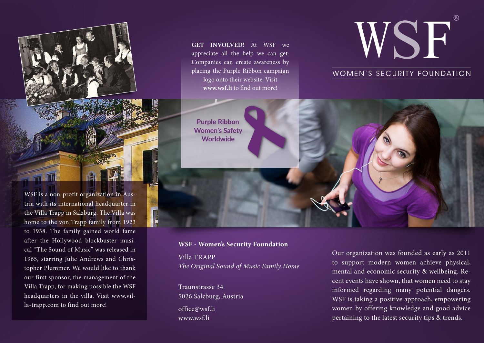

WSF is a non-profit organization in Austria with its international headquarter in the Villa Trapp in Salzburg. The Villa was home to the von Trapp family from 1923 to 1938. The family gained world fame after the Hollywood blockbuster musical "The Sound of Music" was released in 1965, starring Julie Andrews and Christopher Plummer. We would like to thank our first sponsor, the management of the Villa Trapp, for making possible the WSF headquarters in the villa. Visit [www.vil](http://www.villa-trapp.com)[la-trapp.com](http://www.villa-trapp.com) to find out more!

WOMEN'S SECURITY FOUNDATION CONTINUES. WE ARE NOT THE SECURITY FOUNDATION OF THE SECURITY FOUNDATION CONTINUES. WOMEN'S SECURITY FOUNDATION Post Nust that the contract of the contract of the contract of the contract of the contract of the contract of the contract of the contract of the contract of the contract of the contract of the contract of the contract of **GET INVOLVED!** At WSF we appreciate all the help we can get: Companies can create awareness by placing the Purple Ribbon campaign logo onto their website. Visit **[www.wsf.li](http://www.wsf.li)** to find out more!

**Purple Ribbon Women's Safety Worldwide**

# **WSF - Women's Security Foundation** Villa TRAPP *The Original Sound of Music Family Home*

Traunstrasse 34 5026 Salzburg, Austria [office@wsf.li](mailto:office@wsf.li) [www.wsf.li](http://www.wsf.li)

Our organization was founded as early as 2011 to support modern women achieve physical, mental and economic security & wellbeing. Recent events have shown, that women need to stay informed regarding many potential dangers. WSF is taking a positive approach, empowering women by offering knowledge and good advice pertaining to the latest security tips & trends.

WSF

**R**

WS.

WOMEN'S SECURITY FOUNDATION